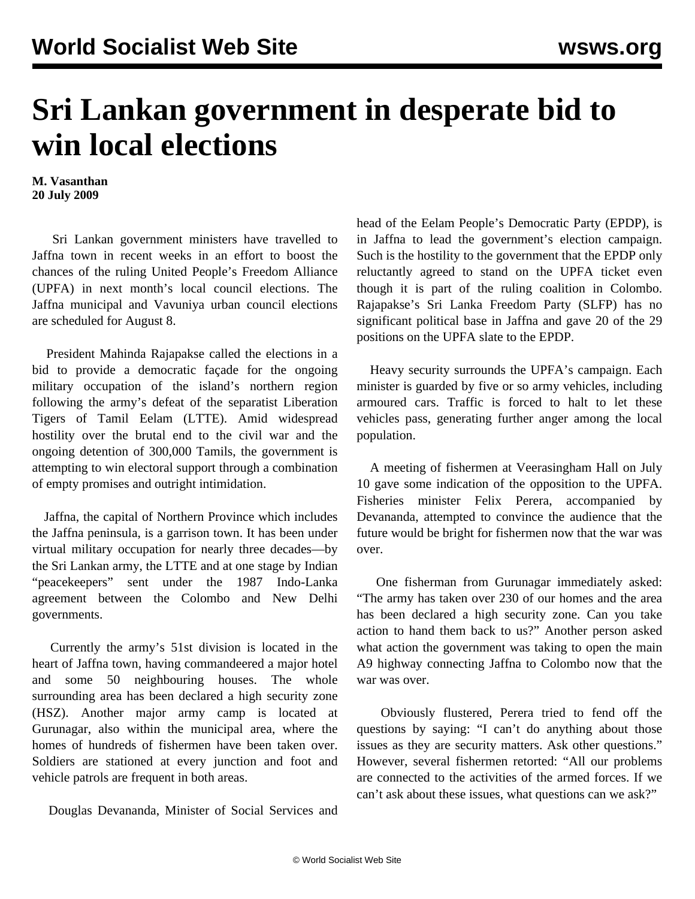## **Sri Lankan government in desperate bid to win local elections**

**M. Vasanthan 20 July 2009**

 Sri Lankan government ministers have travelled to Jaffna town in recent weeks in an effort to boost the chances of the ruling United People's Freedom Alliance (UPFA) in next month's local council elections. The Jaffna municipal and Vavuniya urban council elections are scheduled for August 8.

 President Mahinda Rajapakse called the elections in a bid to provide a democratic façade for the ongoing military occupation of the island's northern region following the army's defeat of the separatist Liberation Tigers of Tamil Eelam (LTTE). Amid widespread hostility over the brutal end to the civil war and the ongoing detention of 300,000 Tamils, the government is attempting to win electoral support through a combination of empty promises and outright intimidation.

 Jaffna, the capital of Northern Province which includes the Jaffna peninsula, is a garrison town. It has been under virtual military occupation for nearly three decades—by the Sri Lankan army, the LTTE and at one stage by Indian "peacekeepers" sent under the 1987 Indo-Lanka agreement between the Colombo and New Delhi governments.

 Currently the army's 51st division is located in the heart of Jaffna town, having commandeered a major hotel and some 50 neighbouring houses. The whole surrounding area has been declared a high security zone (HSZ). Another major army camp is located at Gurunagar, also within the municipal area, where the homes of hundreds of fishermen have been taken over. Soldiers are stationed at every junction and foot and vehicle patrols are frequent in both areas.

Douglas Devananda, Minister of Social Services and

head of the Eelam People's Democratic Party (EPDP), is in Jaffna to lead the government's election campaign. Such is the hostility to the government that the EPDP only reluctantly agreed to stand on the UPFA ticket even though it is part of the ruling coalition in Colombo. Rajapakse's Sri Lanka Freedom Party (SLFP) has no significant political base in Jaffna and gave 20 of the 29 positions on the UPFA slate to the EPDP.

 Heavy security surrounds the UPFA's campaign. Each minister is guarded by five or so army vehicles, including armoured cars. Traffic is forced to halt to let these vehicles pass, generating further anger among the local population.

 A meeting of fishermen at Veerasingham Hall on July 10 gave some indication of the opposition to the UPFA. Fisheries minister Felix Perera, accompanied by Devananda, attempted to convince the audience that the future would be bright for fishermen now that the war was over.

 One fisherman from Gurunagar immediately asked: "The army has taken over 230 of our homes and the area has been declared a high security zone. Can you take action to hand them back to us?" Another person asked what action the government was taking to open the main A9 highway connecting Jaffna to Colombo now that the war was over.

 Obviously flustered, Perera tried to fend off the questions by saying: "I can't do anything about those issues as they are security matters. Ask other questions." However, several fishermen retorted: "All our problems are connected to the activities of the armed forces. If we can't ask about these issues, what questions can we ask?"